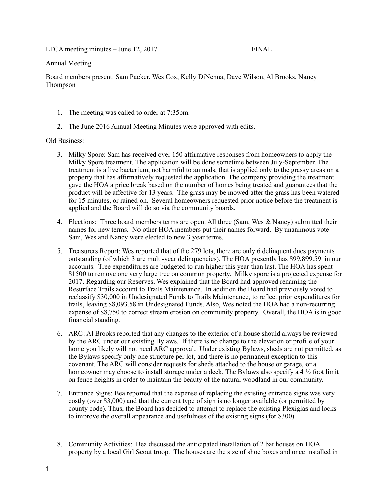LFCA meeting minutes – June 12, 2017 FINAL

## Annual Meeting

Board members present: Sam Packer, Wes Cox, Kelly DiNenna, Dave Wilson, Al Brooks, Nancy Thompson

- 1. The meeting was called to order at 7:35pm.
- 2. The June 2016 Annual Meeting Minutes were approved with edits.

## Old Business:

- 3. Milky Spore: Sam has received over 150 affirmative responses from homeowners to apply the Milky Spore treatment. The application will be done sometime between July-September. The treatment is a live bacterium, not harmful to animals, that is applied only to the grassy areas on a property that has affirmatively requested the application. The company providing the treatment gave the HOA a price break based on the number of homes being treated and guarantees that the product will be affective for 13 years. The grass may be mowed after the grass has been watered for 15 minutes, or rained on. Several homeowners requested prior notice before the treatment is applied and the Board will do so via the community boards.
- 4. Elections: Three board members terms are open. All three (Sam, Wes  $\&$  Nancy) submitted their names for new terms. No other HOA members put their names forward. By unanimous vote Sam, Wes and Nancy were elected to new 3 year terms.
- 5. Treasurers Report: Wes reported that of the 279 lots, there are only 6 delinquent dues payments outstanding (of which 3 are multi-year delinquencies). The HOA presently has \$99,899.59 in our accounts. Tree expenditures are budgeted to run higher this year than last. The HOA has spent \$1500 to remove one very large tree on common property. Milky spore is a projected expense for 2017. Regarding our Reserves, Wes explained that the Board had approved renaming the Resurface Trails account to Trails Maintenance. In addition the Board had previously voted to reclassify \$30,000 in Undesignated Funds to Trails Maintenance, to reflect prior expenditures for trails, leaving \$8,093.58 in Undesignated Funds. Also, Wes noted the HOA had a non-recurring expense of \$8,750 to correct stream erosion on community property. Overall, the HOA is in good financial standing.
- 6. ARC: Al Brooks reported that any changes to the exterior of a house should always be reviewed by the ARC under our existing Bylaws. If there is no change to the elevation or profile of your home you likely will not need ARC approval. Under existing Bylaws, sheds are not permitted, as the Bylaws specify only one structure per lot, and there is no permanent exception to this covenant. The ARC will consider requests for sheds attached to the house or garage, or a homeowner may choose to install storage under a deck. The Bylaws also specify a 4  $\frac{1}{2}$  foot limit on fence heights in order to maintain the beauty of the natural woodland in our community.
- 7. Entrance Signs: Bea reported that the expense of replacing the existing entrance signs was very costly (over \$3,000) and that the current type of sign is no longer available (or permitted by county code). Thus, the Board has decided to attempt to replace the existing Plexiglas and locks to improve the overall appearance and usefulness of the existing signs (for \$300).
- 8. Community Activities: Bea discussed the anticipated installation of 2 bat houses on HOA property by a local Girl Scout troop. The houses are the size of shoe boxes and once installed in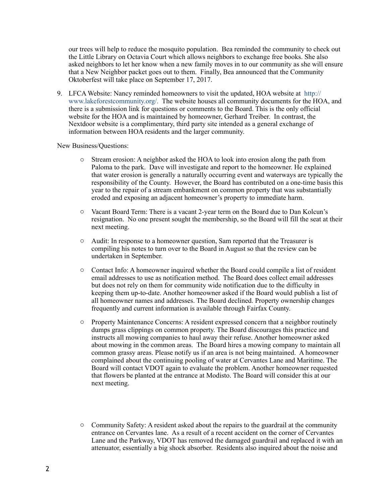our trees will help to reduce the mosquito population. Bea reminded the community to check out the Little Library on Octavia Court which allows neighbors to exchange free books. She also asked neighbors to let her know when a new family moves in to our community as she will ensure that a New Neighbor packet goes out to them. Finally, Bea announced that the Community Oktoberfest will take place on September 17, 2017.

9. LFCA Website: Nancy reminded homeowners to visit the updated, HOA website at http:// www.lakeforestcommunity.org/. The website houses all community documents for the HOA, and there is a submission link for questions or comments to the Board. This is the only official website for the HOA and is maintained by homeowner, Gerhard Treiber. In contrast, the Nextdoor website is a complimentary, third party site intended as a general exchange of information between HOA residents and the larger community.

New Business/Questions:

- o Stream erosion: A neighbor asked the HOA to look into erosion along the path from Paloma to the park. Dave will investigate and report to the homeowner. He explained that water erosion is generally a naturally occurring event and waterways are typically the responsibility of the County. However, the Board has contributed on a one-time basis this year to the repair of a stream embankment on common property that was substantially eroded and exposing an adjacent homeowner's property to immediate harm.
- o Vacant Board Term: There is a vacant 2-year term on the Board due to Dan Kolcun's resignation. No one present sought the membership, so the Board will fill the seat at their next meeting.
- o Audit: In response to a homeowner question, Sam reported that the Treasurer is compiling his notes to turn over to the Board in August so that the review can be undertaken in September.
- o Contact Info: A homeowner inquired whether the Board could compile a list of resident email addresses to use as notification method. The Board does collect email addresses but does not rely on them for community wide notification due to the difficulty in keeping them up-to-date. Another homeowner asked if the Board would publish a list of all homeowner names and addresses. The Board declined. Property ownership changes frequently and current information is available through Fairfax County.
- o Property Maintenance Concerns: A resident expressed concern that a neighbor routinely dumps grass clippings on common property. The Board discourages this practice and instructs all mowing companies to haul away their refuse. Another homeowner asked about mowing in the common areas. The Board hires a mowing company to maintain all common grassy areas. Please notify us if an area is not being maintained. A homeowner complained about the continuing pooling of water at Cervantes Lane and Maritime. The Board will contact VDOT again to evaluate the problem. Another homeowner requested that flowers be planted at the entrance at Modisto. The Board will consider this at our next meeting.
- o Community Safety: A resident asked about the repairs to the guardrail at the community entrance on Cervantes lane. As a result of a recent accident on the corner of Cervantes Lane and the Parkway, VDOT has removed the damaged guardrail and replaced it with an attenuator, essentially a big shock absorber. Residents also inquired about the noise and